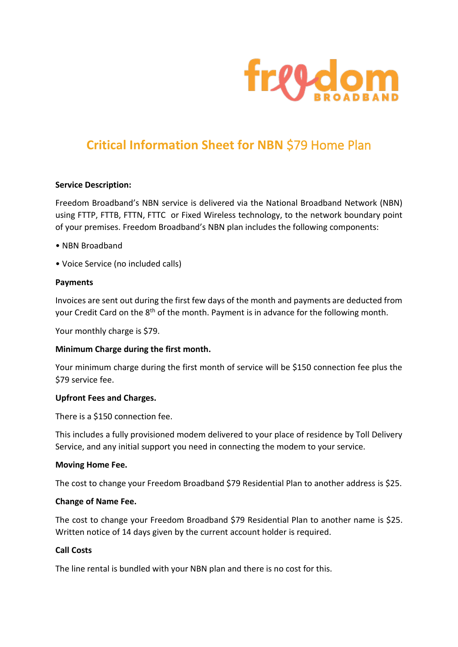

# **Critical Information Sheet for NBN** \$79 Home Plan

## **Service Description:**

Freedom Broadband's NBN service is delivered via the National Broadband Network (NBN) using FTTP, FTTB, FTTN, FTTC or Fixed Wireless technology, to the network boundary point of your premises. Freedom Broadband's NBN plan includes the following components:

- NBN Broadband
- Voice Service (no included calls)

## **Payments**

Invoices are sent out during the first few days of the month and payments are deducted from your Credit Card on the 8<sup>th</sup> of the month. Payment is in advance for the following month.

Your monthly charge is \$79.

## **Minimum Charge during the first month.**

Your minimum charge during the first month of service will be \$150 connection fee plus the \$79 service fee.

## **Upfront Fees and Charges.**

There is a \$150 connection fee.

This includes a fully provisioned modem delivered to your place of residence by Toll Delivery Service, and any initial support you need in connecting the modem to your service.

#### **Moving Home Fee.**

The cost to change your Freedom Broadband \$79 Residential Plan to another address is \$25.

## **Change of Name Fee.**

The cost to change your Freedom Broadband \$79 Residential Plan to another name is \$25. Written notice of 14 days given by the current account holder is required.

# **Call Costs**

The line rental is bundled with your NBN plan and there is no cost for this.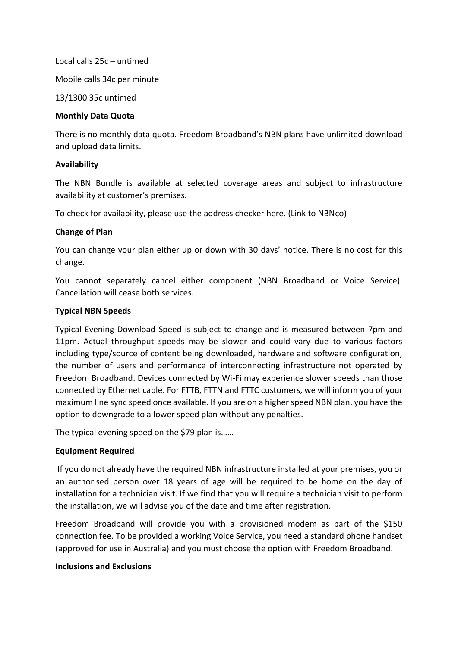Local calls 25c – untimed Mobile calls 34c per minute

13/1300 35c untimed

# **Monthly Data Quota**

There is no monthly data quota. Freedom Broadband's NBN plans have unlimited download and upload data limits.

# **Availability**

The NBN Bundle is available at selected coverage areas and subject to infrastructure availability at customer's premises.

To check for availability, please use the address checker here. (Link to NBNco)

# **Change of Plan**

You can change your plan either up or down with 30 days' notice. There is no cost for this change.

You cannot separately cancel either component (NBN Broadband or Voice Service). Cancellation will cease both services.

# **Typical NBN Speeds**

Typical Evening Download Speed is subject to change and is measured between 7pm and 11pm. Actual throughput speeds may be slower and could vary due to various factors including type/source of content being downloaded, hardware and software configuration, the number of users and performance of interconnecting infrastructure not operated by Freedom Broadband. Devices connected by Wi-Fi may experience slower speeds than those connected by Ethernet cable. For FTTB, FTTN and FTTC customers, we will inform you of your maximum line sync speed once available. If you are on a higher speed NBN plan, you have the option to downgrade to a lower speed plan without any penalties.

The typical evening speed on the \$79 plan is……

# **Equipment Required**

If you do not already have the required NBN infrastructure installed at your premises, you or an authorised person over 18 years of age will be required to be home on the day of installation for a technician visit. If we find that you will require a technician visit to perform the installation, we will advise you of the date and time after registration.

Freedom Broadband will provide you with a provisioned modem as part of the \$150 connection fee. To be provided a working Voice Service, you need a standard phone handset (approved for use in Australia) and you must choose the option with Freedom Broadband.

## **Inclusions and Exclusions**